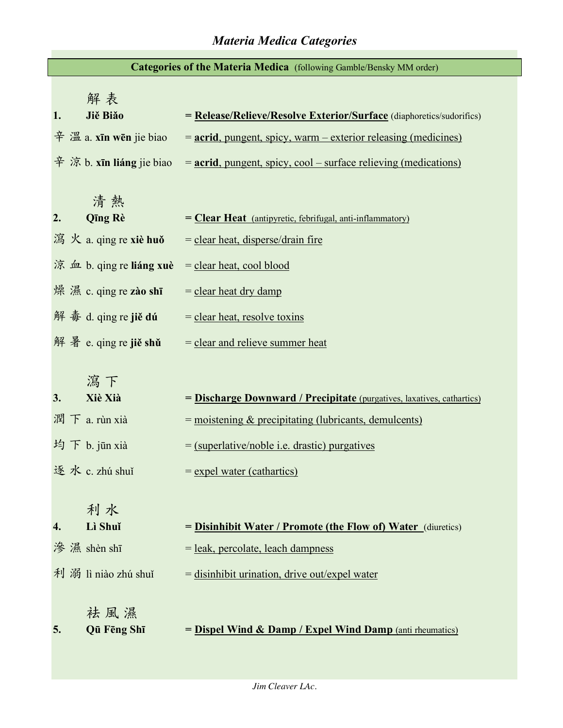## *Materia Medica Categories*

| Categories of the Materia Medica (following Gamble/Bensky MM order) |                                                                                                     |                                                                                                             |  |  |  |
|---------------------------------------------------------------------|-----------------------------------------------------------------------------------------------------|-------------------------------------------------------------------------------------------------------------|--|--|--|
| 1.                                                                  | 解表<br>Jiě Biǎo                                                                                      | = Release/Relieve/Resolve Exterior/Surface (diaphoretics/sudorifics)                                        |  |  |  |
|                                                                     | $\hat{\mathcal{F}}$ $\hat{\mathbb{Z}}$ a. xīn wēn jie biao                                          | <u>= acrid, pungent, spicy, warm – exterior releasing (medicines)</u>                                       |  |  |  |
|                                                                     | $\hat{\mathcal{F}}$ $\hat{\mathcal{F}}$ $\hat{\mathcal{F}}$ b. $\hat{\mathbf{x}}$ in liang jie biao | $=$ acrid, pungent, spicy, cool – surface relieving (medications)                                           |  |  |  |
| 2.                                                                  | 清熱<br><b>Qīng Rè</b><br>瀉 火 a. qing re xiè huǒ                                                      | = <b>Clear Heat</b> (antipyretic, febrifugal, anti-inflammatory)<br>$=$ clear heat, disperse/drain fire     |  |  |  |
|                                                                     | 涼 血 b. qing re liáng xuè                                                                            | $=$ clear heat, cool blood                                                                                  |  |  |  |
|                                                                     | 煤 濕 c. qing re zào shī                                                                              | $=$ clear heat dry damp                                                                                     |  |  |  |
|                                                                     | 解毒 d. qing re jiě dú                                                                                | $=$ clear heat, resolve toxing                                                                              |  |  |  |
|                                                                     | 解 暑 e. qing re jiě shǔ                                                                              | $=$ clear and relieve summer heat                                                                           |  |  |  |
| 3.                                                                  | 瀉下<br>Xiè Xià                                                                                       | = Discharge Downward / Precipitate (purgatives, laxatives, cathartics)                                      |  |  |  |
|                                                                     | 潤下 a. rùn xià                                                                                       | $=$ moistening $\&$ precipitating (lubricants, demulcents)                                                  |  |  |  |
|                                                                     | 均下 b. jūn xià                                                                                       | $=$ (superlative/noble i.e. drastic) purgatives                                                             |  |  |  |
|                                                                     | 逐水 c. zhú shuǐ                                                                                      | $=$ expel water (cathartics)                                                                                |  |  |  |
|                                                                     | 利水<br>Lì Shuǐ<br>滲 濕 shèn shī                                                                       | = Disinhibit Water / Promote (the Flow of) Water (diuretics)<br>= <u>leak, percolate, leach dampness</u>    |  |  |  |
| 5.                                                                  | 利 溺 lì niào zhú shuǐ<br>祛風濕<br>Qū Fēng Shī                                                          | $=$ disinhibit urination, drive out/expel water<br>= Dispel Wind & Damp / Expel Wind Damp (anti rheumatics) |  |  |  |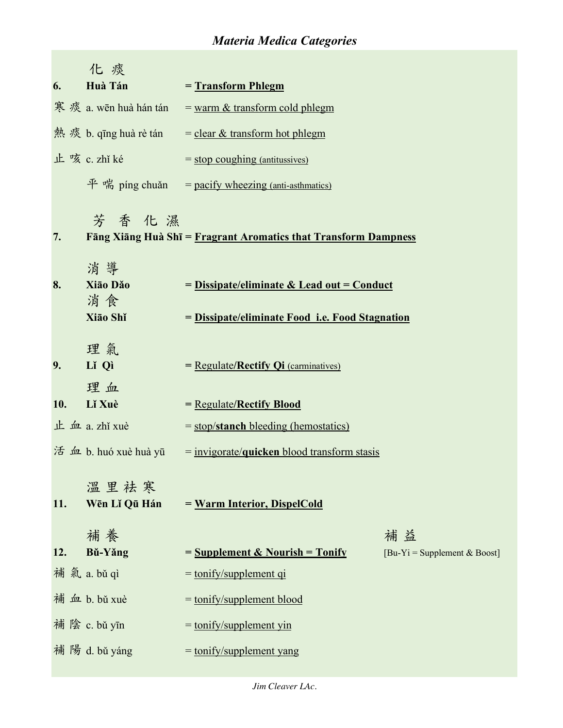## *Materia Medica Categories*

|     | 化痰                        |                                                                                                        |                                               |
|-----|---------------------------|--------------------------------------------------------------------------------------------------------|-----------------------------------------------|
| 6.  | Huà Tán                   | $=$ Transform Phlegm                                                                                   |                                               |
|     | 寒痰 a. wēn huà hán tán     | $=$ warm $\&$ transform cold phlegm                                                                    |                                               |
|     | 熱 痰 b. qīng huà rè tán    | $=$ clear & transform hot phlegm                                                                       |                                               |
|     | 止咳 c. zhǐ ké              | $=$ stop coughing (antitussives)                                                                       |                                               |
|     |                           | $\mathcal{F}$ $\ddot{\mathcal{F}}$ $\ddot{\mathcal{F}}$ ping chuǎn = pacify wheezing (anti-asthmatics) |                                               |
| 7.  | 芳香化濕                      | Fāng Xiāng Huà Shī = Fragrant Aromatics that Transform Dampness                                        |                                               |
|     | 消導                        |                                                                                                        |                                               |
| 8.  | Xiāo Dăo                  | = Dissipate/eliminate & Lead out = Conduct                                                             |                                               |
|     | 消食                        |                                                                                                        |                                               |
|     | Xiao Shǐ                  | = Dissipate/eliminate Food i.e. Food Stagnation                                                        |                                               |
| 9.  | 理氣<br>Lǐ Qì<br>理血         | $=$ Regulate/ <b>Rectify Qi</b> (carminatives)                                                         |                                               |
| 10. | Lǐ Xuè                    | = Regulate/Rectify Blood                                                                               |                                               |
|     | $\pm$ $\pm$ $a$ . zhǐ xuè | $=$ stop/stanch bleeding (hemostatics)                                                                 |                                               |
|     | 活 血 b. huó xuè huà yū     | $=$ invigorate/ <b>quicken</b> blood transform stasis                                                  |                                               |
| 11. | 溫里祛寒<br>Wēn Lǐ Qū Hán     | = Warm Interior, DispelCold                                                                            |                                               |
|     | 補養                        |                                                                                                        | 補益                                            |
| 12. | Bǔ-Yǎng                   | $=$ Supplement & Nourish $=$ Tonify                                                                    | $[Bu-Yi = \text{Supplement } & \text{Boost}]$ |
|     | 補氣 a. bǔ qì               | $=$ tonify/supplement qi                                                                               |                                               |
|     | 補 血 b. bǔ xuè             | $=$ tonify/supplement blood                                                                            |                                               |
|     | 補 陰 c. bǔ yīn             | $=$ tonify/supplement yin                                                                              |                                               |
|     | 補 陽 d. bǔ yáng            | $=$ tonify/supplement yang                                                                             |                                               |